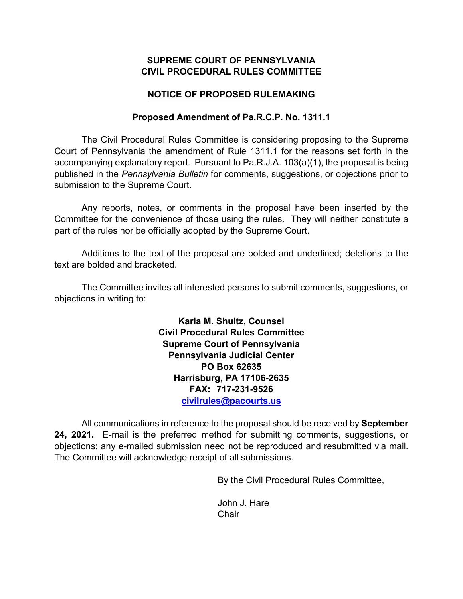#### **SUPREME COURT OF PENNSYLVANIA CIVIL PROCEDURAL RULES COMMITTEE**

#### **NOTICE OF PROPOSED RULEMAKING**

#### **Proposed Amendment of Pa.R.C.P. No. 1311.1**

The Civil Procedural Rules Committee is considering proposing to the Supreme Court of Pennsylvania the amendment of Rule 1311.1 for the reasons set forth in the accompanying explanatory report. Pursuant to Pa.R.J.A. 103(a)(1), the proposal is being published in the *Pennsylvania Bulletin* for comments, suggestions, or objections prior to submission to the Supreme Court.

Any reports, notes, or comments in the proposal have been inserted by the Committee for the convenience of those using the rules. They will neither constitute a part of the rules nor be officially adopted by the Supreme Court.

Additions to the text of the proposal are bolded and underlined; deletions to the text are bolded and bracketed.

The Committee invites all interested persons to submit comments, suggestions, or objections in writing to:

> **Karla M. Shultz, Counsel Civil Procedural Rules Committee Supreme Court of Pennsylvania Pennsylvania Judicial Center PO Box 62635 Harrisburg, PA 17106-2635 FAX: 717-231-9526 [civilrules@pacourts.us](mailto:civilrules@pacourts.us)**

All communications in reference to the proposal should be received by **September 24, 2021.** E-mail is the preferred method for submitting comments, suggestions, or objections; any e-mailed submission need not be reproduced and resubmitted via mail. The Committee will acknowledge receipt of all submissions.

By the Civil Procedural Rules Committee,

John J. Hare **Chair**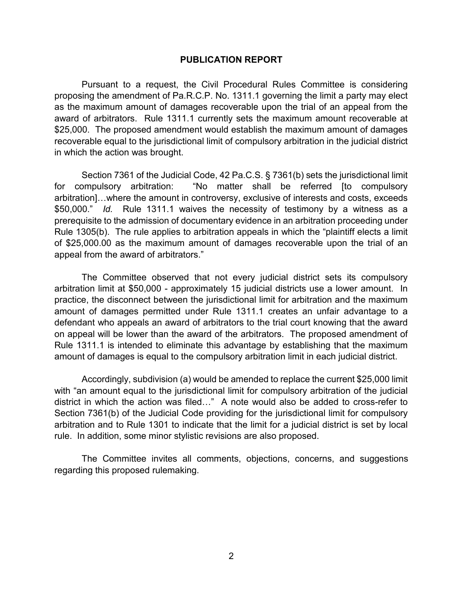#### **PUBLICATION REPORT**

Pursuant to a request, the Civil Procedural Rules Committee is considering proposing the amendment of Pa.R.C.P. No. 1311.1 governing the limit a party may elect as the maximum amount of damages recoverable upon the trial of an appeal from the award of arbitrators. Rule 1311.1 currently sets the maximum amount recoverable at \$25,000. The proposed amendment would establish the maximum amount of damages recoverable equal to the jurisdictional limit of compulsory arbitration in the judicial district in which the action was brought.

Section 7361 of the Judicial Code, 42 Pa.C.S. § 7361(b) sets the jurisdictional limit for compulsory arbitration: "No matter shall be referred [to compulsory arbitration]…where the amount in controversy, exclusive of interests and costs, exceeds \$50,000." *Id.* Rule 1311.1 waives the necessity of testimony by a witness as a prerequisite to the admission of documentary evidence in an arbitration proceeding under Rule 1305(b). The rule applies to arbitration appeals in which the "plaintiff elects a limit of \$25,000.00 as the maximum amount of damages recoverable upon the trial of an appeal from the award of arbitrators."

The Committee observed that not every judicial district sets its compulsory arbitration limit at \$50,000 - approximately 15 judicial districts use a lower amount. In practice, the disconnect between the jurisdictional limit for arbitration and the maximum amount of damages permitted under Rule 1311.1 creates an unfair advantage to a defendant who appeals an award of arbitrators to the trial court knowing that the award on appeal will be lower than the award of the arbitrators. The proposed amendment of Rule 1311.1 is intended to eliminate this advantage by establishing that the maximum amount of damages is equal to the compulsory arbitration limit in each judicial district.

Accordingly, subdivision (a) would be amended to replace the current \$25,000 limit with "an amount equal to the jurisdictional limit for compulsory arbitration of the judicial district in which the action was filed…" A note would also be added to cross-refer to Section 7361(b) of the Judicial Code providing for the jurisdictional limit for compulsory arbitration and to Rule 1301 to indicate that the limit for a judicial district is set by local rule. In addition, some minor stylistic revisions are also proposed.

The Committee invites all comments, objections, concerns, and suggestions regarding this proposed rulemaking.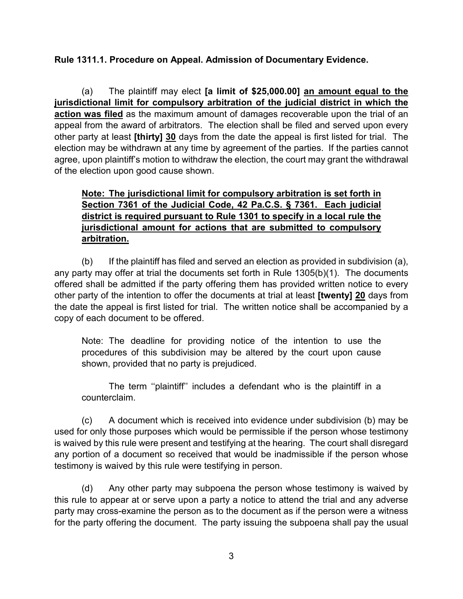## **Rule 1311.1. Procedure on Appeal. Admission of Documentary Evidence.**

(a) The plaintiff may elect **[a limit of \$25,000.00] an amount equal to the jurisdictional limit for compulsory arbitration of the judicial district in which the action was filed** as the maximum amount of damages recoverable upon the trial of an appeal from the award of arbitrators. The election shall be filed and served upon every other party at least **[thirty] 30** days from the date the appeal is first listed for trial. The election may be withdrawn at any time by agreement of the parties. If the parties cannot agree, upon plaintiff's motion to withdraw the election, the court may grant the withdrawal of the election upon good cause shown.

## **Note: The jurisdictional limit for compulsory arbitration is set forth in Section 7361 of the Judicial Code, 42 Pa.C.S. § 7361. Each judicial district is required pursuant to Rule 1301 to specify in a local rule the jurisdictional amount for actions that are submitted to compulsory arbitration.**

(b) If the plaintiff has filed and served an election as provided in subdivision (a), any party may offer at trial the documents set forth in Rule 1305(b)(1). The documents offered shall be admitted if the party offering them has provided written notice to every other party of the intention to offer the documents at trial at least **[twenty] 20** days from the date the appeal is first listed for trial. The written notice shall be accompanied by a copy of each document to be offered.

Note: The deadline for providing notice of the intention to use the procedures of this subdivision may be altered by the court upon cause shown, provided that no party is prejudiced.

The term ''plaintiff'' includes a defendant who is the plaintiff in a counterclaim.

(c) A document which is received into evidence under subdivision (b) may be used for only those purposes which would be permissible if the person whose testimony is waived by this rule were present and testifying at the hearing. The court shall disregard any portion of a document so received that would be inadmissible if the person whose testimony is waived by this rule were testifying in person.

(d) Any other party may subpoena the person whose testimony is waived by this rule to appear at or serve upon a party a notice to attend the trial and any adverse party may cross-examine the person as to the document as if the person were a witness for the party offering the document. The party issuing the subpoena shall pay the usual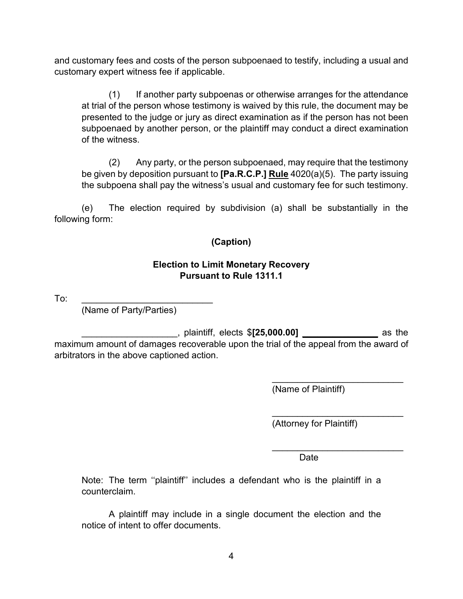and customary fees and costs of the person subpoenaed to testify, including a usual and customary expert witness fee if applicable.

(1) If another party subpoenas or otherwise arranges for the attendance at trial of the person whose testimony is waived by this rule, the document may be presented to the judge or jury as direct examination as if the person has not been subpoenaed by another person, or the plaintiff may conduct a direct examination of the witness.

(2) Any party, or the person subpoenaed, may require that the testimony be given by deposition pursuant to **[Pa.R.C.P.] Rule** 4020(a)(5). The party issuing the subpoena shall pay the witness's usual and customary fee for such testimony.

(e) The election required by subdivision (a) shall be substantially in the following form:

## **(Caption)**

### **Election to Limit Monetary Recovery Pursuant to Rule 1311.1**

To: \_\_\_\_\_\_\_\_\_\_\_\_\_\_\_\_\_\_\_\_\_\_\_\_\_\_

(Name of Party/Parties)

\_\_\_\_\_\_\_\_\_\_\_\_\_\_\_\_\_\_\_, plaintiff, elects \$**[25,000.00] \_\_\_\_\_\_\_\_\_\_\_\_\_\_\_** as the maximum amount of damages recoverable upon the trial of the appeal from the award of arbitrators in the above captioned action.

(Name of Plaintiff)

\_\_\_\_\_\_\_\_\_\_\_\_\_\_\_\_\_\_\_\_\_\_\_\_\_\_

\_\_\_\_\_\_\_\_\_\_\_\_\_\_\_\_\_\_\_\_\_\_\_\_\_\_

\_\_\_\_\_\_\_\_\_\_\_\_\_\_\_\_\_\_\_\_\_\_\_\_\_\_

(Attorney for Plaintiff)

discussion of the contract of the contract of the Date

Note: The term ''plaintiff'' includes a defendant who is the plaintiff in a counterclaim.

A plaintiff may include in a single document the election and the notice of intent to offer documents.